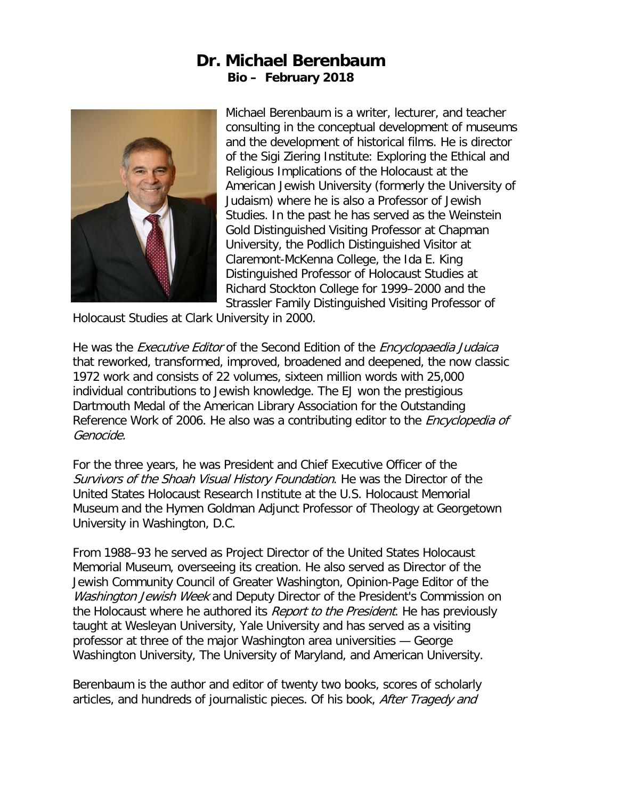## **Dr. Michael Berenbaum Bio – February 2018**



Michael Berenbaum is a writer, lecturer, and teacher consulting in the conceptual development of museums and the development of historical films. He is director of the Sigi Ziering Institute: Exploring the Ethical and Religious Implications of the Holocaust at the American Jewish University (formerly the University of Judaism) where he is also a Professor of Jewish Studies. In the past he has served as the Weinstein Gold Distinguished Visiting Professor at Chapman University, the Podlich Distinguished Visitor at Claremont-McKenna College, the Ida E. King Distinguished Professor of Holocaust Studies at Richard Stockton College for 1999–2000 and the Strassler Family Distinguished Visiting Professor of

Holocaust Studies at Clark University in 2000.

He was the *Executive Editor* of the Second Edition of the *Encyclopaedia Judaica* that reworked, transformed, improved, broadened and deepened, the now classic 1972 work and consists of 22 volumes, sixteen million words with 25,000 individual contributions to Jewish knowledge. The EJ won the prestigious Dartmouth Medal of the American Library Association for the Outstanding Reference Work of 2006. He also was a contributing editor to the *Encyclopedia of* Genocide.

For the three years, he was President and Chief Executive Officer of the Survivors of the Shoah Visual History Foundation. He was the Director of the United States Holocaust Research Institute at the U.S. Holocaust Memorial Museum and the Hymen Goldman Adjunct Professor of Theology at Georgetown University in Washington, D.C.

From 1988–93 he served as Project Director of the United States Holocaust Memorial Museum, overseeing its creation. He also served as Director of the Jewish Community Council of Greater Washington, Opinion-Page Editor of the Washington Jewish Week and Deputy Director of the President's Commission on the Holocaust where he authored its *Report to the President*. He has previously taught at Wesleyan University, Yale University and has served as a visiting professor at three of the major Washington area universities — George Washington University, The University of Maryland, and American University.

Berenbaum is the author and editor of twenty two books, scores of scholarly articles, and hundreds of journalistic pieces. Of his book, After Tragedy and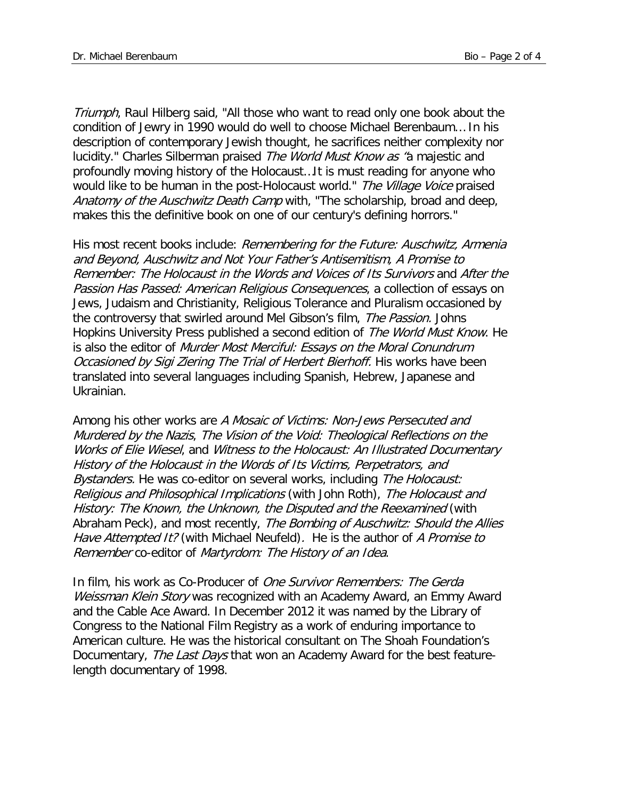Triumph, Raul Hilberg said, "All those who want to read only one book about the condition of Jewry in 1990 would do well to choose Michael Berenbaum… In his description of contemporary Jewish thought, he sacrifices neither complexity nor lucidity." Charles Silberman praised The World Must Know as "a majestic and profoundly moving history of the Holocaust…It is must reading for anyone who would like to be human in the post-Holocaust world." The Village Voice praised Anatomy of the Auschwitz Death Camp with, "The scholarship, broad and deep, makes this the definitive book on one of our century's defining horrors."

His most recent books include: Remembering for the Future: Auschwitz, Armenia and Beyond, Auschwitz and Not Your Father's Antisemitism, A Promise to Remember: The Holocaust in the Words and Voices of Its Survivors and After the Passion Has Passed: American Religious Consequences, a collection of essays on Jews, Judaism and Christianity, Religious Tolerance and Pluralism occasioned by the controversy that swirled around Mel Gibson's film, The Passion. Johns Hopkins University Press published a second edition of The World Must Know. He is also the editor of Murder Most Merciful: Essays on the Moral Conundrum Occasioned by Sigi Ziering The Trial of Herbert Bierhoff. His works have been translated into several languages including Spanish, Hebrew, Japanese and Ukrainian.

Among his other works are A Mosaic of Victims: Non-Jews Persecuted and Murdered by the Nazis, The Vision of the Void: Theological Reflections on the Works of Elie Wiesel, and Witness to the Holocaust: An Illustrated Documentary History of the Holocaust in the Words of Its Victims, Perpetrators, and Bystanders. He was co-editor on several works, including The Holocaust: Religious and Philosophical Implications (with John Roth), The Holocaust and History: The Known, the Unknown, the Disputed and the Reexamined (with Abraham Peck), and most recently, The Bombing of Auschwitz: Should the Allies Have Attempted It? (with Michael Neufeld). He is the author of A Promise to Remember co-editor of Martyrdom: The History of an Idea.

In film, his work as Co-Producer of *One Survivor Remembers: The Gerda* Weissman Klein Story was recognized with an Academy Award, an Emmy Award and the Cable Ace Award. In December 2012 it was named by the Library of Congress to the National Film Registry as a work of enduring importance to American culture. He was the historical consultant on The Shoah Foundation's Documentary, The Last Days that won an Academy Award for the best featurelength documentary of 1998.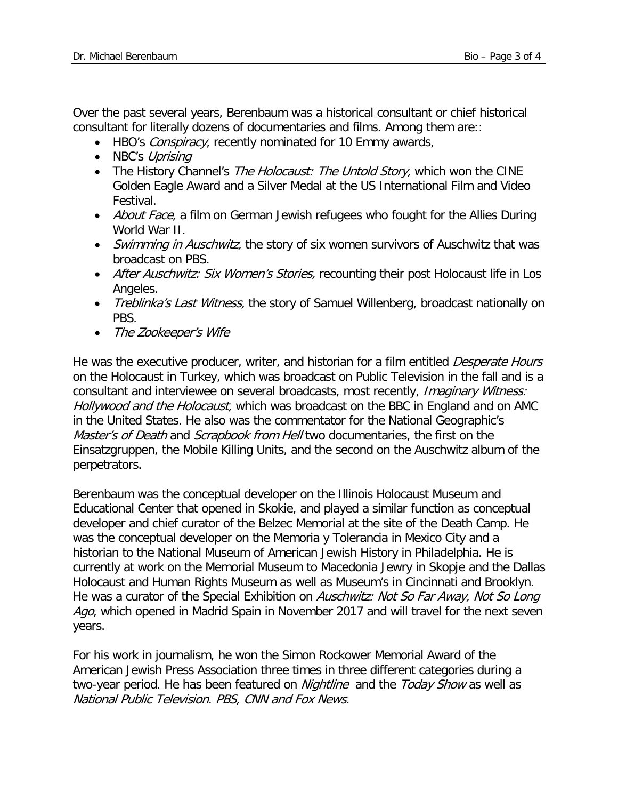Over the past several years, Berenbaum was a historical consultant or chief historical consultant for literally dozens of documentaries and films. Among them are::

- HBO's Conspiracy, recently nominated for 10 Emmy awards,
- NBC's Uprising
- The History Channel's The Holocaust: The Untold Story, which won the CINE Golden Eagle Award and a Silver Medal at the US International Film and Video Festival.
- About Face, a film on German Jewish refugees who fought for the Allies During World War II.
- Swimming in Auschwitz, the story of six women survivors of Auschwitz that was broadcast on PBS.
- After Auschwitz: Six Women's Stories, recounting their post Holocaust life in Los Angeles.
- Treblinka's Last Witness, the story of Samuel Willenberg, broadcast nationally on PBS.
- The Zookeeper's Wife

He was the executive producer, writer, and historian for a film entitled *Desperate Hours* on the Holocaust in Turkey, which was broadcast on Public Television in the fall and is a consultant and interviewee on several broadcasts, most recently, Imaginary Witness: Hollywood and the Holocaust, which was broadcast on the BBC in England and on AMC in the United States. He also was the commentator for the National Geographic's Master's of Death and Scrapbook from Hell two documentaries, the first on the Einsatzgruppen, the Mobile Killing Units, and the second on the Auschwitz album of the perpetrators.

Berenbaum was the conceptual developer on the Illinois Holocaust Museum and Educational Center that opened in Skokie, and played a similar function as conceptual developer and chief curator of the Belzec Memorial at the site of the Death Camp. He was the conceptual developer on the Memoria y Tolerancia in Mexico City and a historian to the National Museum of American Jewish History in Philadelphia. He is currently at work on the Memorial Museum to Macedonia Jewry in Skopje and the Dallas Holocaust and Human Rights Museum as well as Museum's in Cincinnati and Brooklyn. He was a curator of the Special Exhibition on Auschwitz: Not So Far Away, Not So Long Ago, which opened in Madrid Spain in November 2017 and will travel for the next seven years.

For his work in journalism, he won the Simon Rockower Memorial Award of the American Jewish Press Association three times in three different categories during a two-year period. He has been featured on *Nightline* and the *Today Show* as well as National Public Television. PBS, CNN and Fox News.